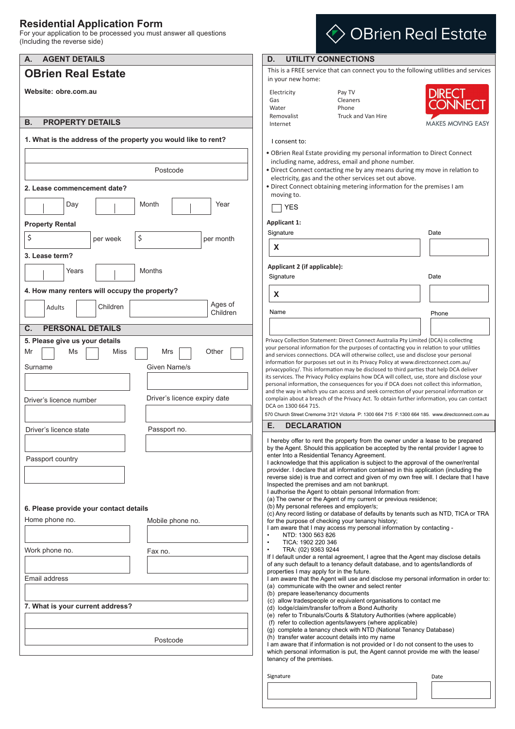### **Residential Application Form**

For your application to be processed you must answer all questions (Including the reverse side)

| <b>AGENT DETAILS</b><br>А.                                                         | D.<br><b>UTILITY CONNECTIONS</b>                                                                                                                                                                                                                                                                                                                                                                                                                                                                                                                                                                                                                                                                                           |  |  |  |
|------------------------------------------------------------------------------------|----------------------------------------------------------------------------------------------------------------------------------------------------------------------------------------------------------------------------------------------------------------------------------------------------------------------------------------------------------------------------------------------------------------------------------------------------------------------------------------------------------------------------------------------------------------------------------------------------------------------------------------------------------------------------------------------------------------------------|--|--|--|
| <b>OBrien Real Estate</b>                                                          | This is a FREE service that can connect you to the following utilities and services<br>in your new home:                                                                                                                                                                                                                                                                                                                                                                                                                                                                                                                                                                                                                   |  |  |  |
| Website: obre.com.au                                                               | <b>DIRECT</b><br>Pay TV<br>Electricity<br>Cleaners<br>Gas<br>CONNECT<br>Water<br>Phone                                                                                                                                                                                                                                                                                                                                                                                                                                                                                                                                                                                                                                     |  |  |  |
| <b>PROPERTY DETAILS</b><br>В.                                                      | Removalist<br>Truck and Van Hire<br><b>MAKES MOVING EASY</b><br>Internet                                                                                                                                                                                                                                                                                                                                                                                                                                                                                                                                                                                                                                                   |  |  |  |
| 1. What is the address of the property you would like to rent?                     | I consent to:                                                                                                                                                                                                                                                                                                                                                                                                                                                                                                                                                                                                                                                                                                              |  |  |  |
|                                                                                    | . OBrien Real Estate providing my personal information to Direct Connect<br>including name, address, email and phone number.                                                                                                                                                                                                                                                                                                                                                                                                                                                                                                                                                                                               |  |  |  |
| Postcode                                                                           | . Direct Connect contacting me by any means during my move in relation to<br>electricity, gas and the other services set out above.                                                                                                                                                                                                                                                                                                                                                                                                                                                                                                                                                                                        |  |  |  |
| 2. Lease commencement date?                                                        | • Direct Connect obtaining metering information for the premises I am<br>moving to.                                                                                                                                                                                                                                                                                                                                                                                                                                                                                                                                                                                                                                        |  |  |  |
| Day<br>Month<br>Year                                                               | <b>YES</b>                                                                                                                                                                                                                                                                                                                                                                                                                                                                                                                                                                                                                                                                                                                 |  |  |  |
| <b>Property Rental</b>                                                             | <b>Applicant 1:</b>                                                                                                                                                                                                                                                                                                                                                                                                                                                                                                                                                                                                                                                                                                        |  |  |  |
| \$<br>\$<br>per month<br>per week                                                  | Signature<br>Date                                                                                                                                                                                                                                                                                                                                                                                                                                                                                                                                                                                                                                                                                                          |  |  |  |
| 3. Lease term?                                                                     | X                                                                                                                                                                                                                                                                                                                                                                                                                                                                                                                                                                                                                                                                                                                          |  |  |  |
| Years<br>Months                                                                    | Applicant 2 (if applicable):                                                                                                                                                                                                                                                                                                                                                                                                                                                                                                                                                                                                                                                                                               |  |  |  |
| 4. How many renters will occupy the property?                                      | Signature<br>Date                                                                                                                                                                                                                                                                                                                                                                                                                                                                                                                                                                                                                                                                                                          |  |  |  |
| Ages of                                                                            | X                                                                                                                                                                                                                                                                                                                                                                                                                                                                                                                                                                                                                                                                                                                          |  |  |  |
| Children<br><b>Adults</b><br>Children                                              | Name<br>Phone                                                                                                                                                                                                                                                                                                                                                                                                                                                                                                                                                                                                                                                                                                              |  |  |  |
| <b>PERSONAL DETAILS</b><br>$\mathbf{C}$ .                                          |                                                                                                                                                                                                                                                                                                                                                                                                                                                                                                                                                                                                                                                                                                                            |  |  |  |
| Given Name/s<br>Surname<br>Driver's licence expiry date<br>Driver's licence number | information for purposes set out in its Privacy Policy at www.directconnect.com.au/<br>privacypolicy/. This information may be disclosed to third parties that help DCA deliver<br>its services. The Privacy Policy explains how DCA will collect, use, store and disclose your<br>personal information, the consequences for you if DCA does not collect this information,<br>and the way in which you can access and seek correction of your personal information or<br>complain about a breach of the Privacy Act. To obtain further information, you can contact<br>DCA on 1300 664 715.<br>570 Church Street Cremorne 3121 Victoria P: 1300 664 715 F:1300 664 185. www.directconnect.com.au                          |  |  |  |
| Driver's licence state<br>Passport no.                                             | <b>DECLARATION</b><br>Е.                                                                                                                                                                                                                                                                                                                                                                                                                                                                                                                                                                                                                                                                                                   |  |  |  |
| Passport country                                                                   | I hereby offer to rent the property from the owner under a lease to be prepared<br>by the Agent. Should this application be accepted by the rental provider I agree to<br>enter Into a Residential Tenancy Agreement.<br>I acknowledge that this application is subject to the approval of the owner/rental<br>provider. I declare that all information contained in this application (including the<br>reverse side) is true and correct and given of my own free will. I declare that I have<br>Inspected the premises and am not bankrupt.<br>I authorise the Agent to obtain personal Information from:<br>(a) The owner or the Agent of my current or previous residence;<br>(b) My personal referees and employer/s; |  |  |  |
| 6. Please provide your contact details<br>Home phone no.<br>Mobile phone no.       | (c) Any record listing or database of defaults by tenants such as NTD, TICA or TRA<br>for the purpose of checking your tenancy history;                                                                                                                                                                                                                                                                                                                                                                                                                                                                                                                                                                                    |  |  |  |
|                                                                                    | I am aware that I may access my personal information by contacting -<br>NTD: 1300 563 826                                                                                                                                                                                                                                                                                                                                                                                                                                                                                                                                                                                                                                  |  |  |  |
| Work phone no.<br>Fax no.                                                          | TICA: 1902 220 346<br>$\bullet$<br>TRA: (02) 9363 9244<br>$\bullet$                                                                                                                                                                                                                                                                                                                                                                                                                                                                                                                                                                                                                                                        |  |  |  |
|                                                                                    | If I default under a rental agreement, I agree that the Agent may disclose details<br>of any such default to a tenancy default database, and to agents/landlords of<br>properties I may apply for in the future.                                                                                                                                                                                                                                                                                                                                                                                                                                                                                                           |  |  |  |
| Email address                                                                      | I am aware that the Agent will use and disclose my personal information in order to:<br>(a) communicate with the owner and select renter                                                                                                                                                                                                                                                                                                                                                                                                                                                                                                                                                                                   |  |  |  |
| 7. What is your current address?                                                   | (b) prepare lease/tenancy documents<br>(c) allow tradespeople or equivalent organisations to contact me<br>(d) lodge/claim/transfer to/from a Bond Authority                                                                                                                                                                                                                                                                                                                                                                                                                                                                                                                                                               |  |  |  |
| Postcode                                                                           | (e) refer to Tribunals/Courts & Statutory Authorities (where applicable)<br>(f) refer to collection agents/lawyers (where applicable)<br>(g) complete a tenancy check with NTD (National Tenancy Database)<br>(h) transfer water account details into my name<br>I am aware that if information is not provided or I do not consent to the uses to<br>which personal information is put, the Agent cannot provide me with the lease/                                                                                                                                                                                                                                                                                       |  |  |  |
|                                                                                    | tenancy of the premises.<br>Signature<br>Date                                                                                                                                                                                                                                                                                                                                                                                                                                                                                                                                                                                                                                                                              |  |  |  |

 $\diamondsuit$  OBrien Real Estate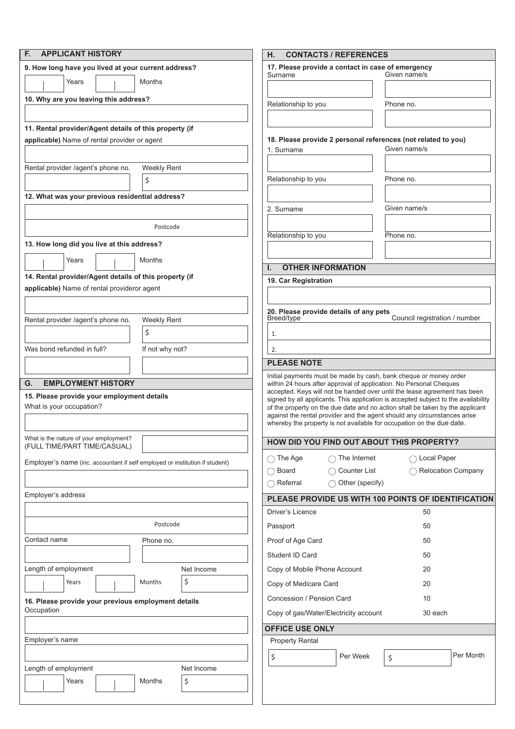| <b>APPLICANT HISTORY</b><br>F.                                                                            |            | Η.                                                                                                                                                              | <b>CONTACTS / REFERENCES</b> |                                                                                                                                                   |  |
|-----------------------------------------------------------------------------------------------------------|------------|-----------------------------------------------------------------------------------------------------------------------------------------------------------------|------------------------------|---------------------------------------------------------------------------------------------------------------------------------------------------|--|
| 9. How long have you lived at your current address?                                                       |            | 17. Please provide a contact in case of emergency                                                                                                               |                              |                                                                                                                                                   |  |
| Years<br><b>Months</b>                                                                                    |            | Surname                                                                                                                                                         |                              | Given name/s                                                                                                                                      |  |
|                                                                                                           |            |                                                                                                                                                                 |                              |                                                                                                                                                   |  |
| 10. Why are you leaving this address?                                                                     |            | Relationship to you                                                                                                                                             |                              | Phone no.                                                                                                                                         |  |
|                                                                                                           |            |                                                                                                                                                                 |                              |                                                                                                                                                   |  |
| 11. Rental provider/Agent details of this property (if                                                    |            |                                                                                                                                                                 |                              |                                                                                                                                                   |  |
| applicable) Name of rental provider or agent                                                              |            | 18. Please provide 2 personal references (not related to you)<br>Given name/s<br>1. Surname                                                                     |                              |                                                                                                                                                   |  |
|                                                                                                           |            |                                                                                                                                                                 |                              |                                                                                                                                                   |  |
| Weekly Rent<br>Rental provider /agent's phone no.                                                         |            |                                                                                                                                                                 |                              |                                                                                                                                                   |  |
| \$                                                                                                        |            | Relationship to you                                                                                                                                             |                              | Phone no.                                                                                                                                         |  |
| 12. What was your previous residential address?                                                           |            |                                                                                                                                                                 |                              |                                                                                                                                                   |  |
|                                                                                                           |            | 2. Surname                                                                                                                                                      |                              | Given name/s                                                                                                                                      |  |
| Postcode                                                                                                  |            |                                                                                                                                                                 |                              |                                                                                                                                                   |  |
|                                                                                                           |            | Relationship to you                                                                                                                                             |                              | Phone no.                                                                                                                                         |  |
| 13. How long did you live at this address?                                                                |            |                                                                                                                                                                 |                              |                                                                                                                                                   |  |
| Months<br>Years                                                                                           |            | Ι.                                                                                                                                                              |                              |                                                                                                                                                   |  |
| 14. Rental provider/Agent details of this property (if                                                    |            | <b>OTHER INFORMATION</b><br>19. Car Registration                                                                                                                |                              |                                                                                                                                                   |  |
| applicable) Name of rental provideror agent                                                               |            |                                                                                                                                                                 |                              |                                                                                                                                                   |  |
|                                                                                                           |            |                                                                                                                                                                 |                              |                                                                                                                                                   |  |
| Rental provider /agent's phone no.<br><b>Weekly Rent</b>                                                  |            | 20. Please provide details of any pets<br>Council registration / number<br>Breed/type                                                                           |                              |                                                                                                                                                   |  |
| \$                                                                                                        |            |                                                                                                                                                                 |                              |                                                                                                                                                   |  |
|                                                                                                           |            | 1.                                                                                                                                                              |                              |                                                                                                                                                   |  |
| Was bond refunded in full?<br>If not why not?                                                             |            | 2.                                                                                                                                                              |                              |                                                                                                                                                   |  |
|                                                                                                           |            | <b>PLEASE NOTE</b>                                                                                                                                              |                              |                                                                                                                                                   |  |
| <b>EMPLOYMENT HISTORY</b><br>G.                                                                           |            |                                                                                                                                                                 |                              | Initial payments must be made by cash, bank cheque or money order<br>within 24 hours after approval of application. No Personal Cheques           |  |
| 15. Please provide your employment details                                                                |            | accepted. Keys will not be handed over until the lease agreement has been<br>signed by all applicants. This application is accepted subject to the availability |                              |                                                                                                                                                   |  |
| What is your occupation?<br>of the property on the due date and no action shall be taken by the applicant |            |                                                                                                                                                                 |                              |                                                                                                                                                   |  |
|                                                                                                           |            |                                                                                                                                                                 |                              | against the rental provider and the agent should any circumstances arise<br>whereby the property is not available for occupation on the due date. |  |
| What is the nature of your employment?                                                                    |            |                                                                                                                                                                 |                              |                                                                                                                                                   |  |
| (FULL TIME/PART TIME/CASUAL)                                                                              |            |                                                                                                                                                                 |                              | HOW DID YOU FIND OUT ABOUT THIS PROPERTY?                                                                                                         |  |
| Employer's name (inc. accountant if self employed or institution if student)                              |            | $\bigcap$ The Age                                                                                                                                               | $\cap$ The Internet          | ◯ Local Paper                                                                                                                                     |  |
|                                                                                                           |            | $\bigcap$ Board                                                                                                                                                 | $\bigcap$ Counter List       | ◯ Relocation Company                                                                                                                              |  |
|                                                                                                           |            | $\bigcap$ Referral                                                                                                                                              | ◯ Other (specify)            |                                                                                                                                                   |  |
| Employer's address                                                                                        |            |                                                                                                                                                                 |                              | PLEASE PROVIDE US WITH 100 POINTS OF IDENTIFICATION                                                                                               |  |
|                                                                                                           |            | Driver's Licence                                                                                                                                                |                              | 50                                                                                                                                                |  |
| Postcode                                                                                                  |            | Passport                                                                                                                                                        |                              | 50                                                                                                                                                |  |
| Contact name<br>Phone no.                                                                                 |            | Proof of Age Card                                                                                                                                               |                              | 50                                                                                                                                                |  |
|                                                                                                           |            | Student ID Card                                                                                                                                                 |                              | 50                                                                                                                                                |  |
| Length of employment                                                                                      | Net Income | Copy of Mobile Phone Account                                                                                                                                    |                              | 20                                                                                                                                                |  |
| Months<br>Years                                                                                           | \$         |                                                                                                                                                                 |                              |                                                                                                                                                   |  |
|                                                                                                           |            | Copy of Medicare Card                                                                                                                                           |                              | 20                                                                                                                                                |  |
| 16. Please provide your previous employment details                                                       |            | Concession / Pension Card<br>10                                                                                                                                 |                              |                                                                                                                                                   |  |
| Occupation                                                                                                |            | Copy of gas/Water/Electricity account<br>30 each                                                                                                                |                              |                                                                                                                                                   |  |
|                                                                                                           |            | <b>OFFICE USE ONLY</b>                                                                                                                                          |                              |                                                                                                                                                   |  |
| Employer's name                                                                                           |            | <b>Property Rental</b>                                                                                                                                          |                              |                                                                                                                                                   |  |
|                                                                                                           |            | \$                                                                                                                                                              | Per Week                     | Per Month<br>\$                                                                                                                                   |  |
| Length of employment                                                                                      | Net Income |                                                                                                                                                                 |                              |                                                                                                                                                   |  |
| Months<br>Years                                                                                           | \$         |                                                                                                                                                                 |                              |                                                                                                                                                   |  |
|                                                                                                           |            |                                                                                                                                                                 |                              |                                                                                                                                                   |  |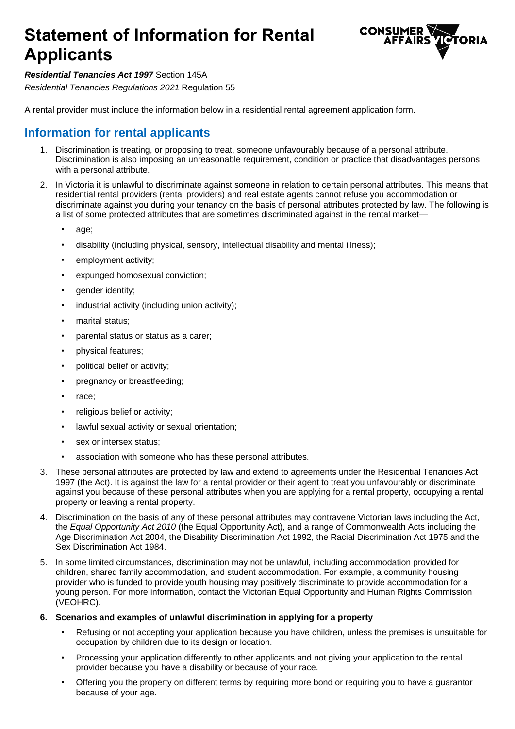# **Statement of Information for Rental Applicants**



*Residential Tenancies Act 1997* Section 145A

*Residential Tenancies Regulations 2021* Regulation 55

A rental provider must include the information below in a residential rental agreement application form.

## **Information for rental applicants**

- 1. Discrimination is treating, or proposing to treat, someone unfavourably because of a personal attribute. Discrimination is also imposing an unreasonable requirement, condition or practice that disadvantages persons with a personal attribute.
- 2. In Victoria it is unlawful to discriminate against someone in relation to certain personal attributes. This means that residential rental providers (rental providers) and real estate agents cannot refuse you accommodation or discriminate against you during your tenancy on the basis of personal attributes protected by law. The following is a list of some protected attributes that are sometimes discriminated against in the rental market
	- age;
	- disability (including physical, sensory, intellectual disability and mental illness);
	- employment activity;
	- expunged homosexual conviction;
	- qender identity;
	- industrial activity (including union activity);
	- marital status:
	- parental status or status as a carer;
	- physical features;
	- political belief or activity;
	- pregnancy or breastfeeding;
	- race;
	- religious belief or activity;
	- lawful sexual activity or sexual orientation;
	- sex or intersex status;
	- association with someone who has these personal attributes.
- 3. These personal attributes are protected by law and extend to agreements under the Residential Tenancies Act 1997 (the Act). It is against the law for a rental provider or their agent to treat you unfavourably or discriminate against you because of these personal attributes when you are applying for a rental property, occupying a rental property or leaving a rental property.
- 4. Discrimination on the basis of any of these personal attributes may contravene Victorian laws including the Act, the *Equal Opportunity Act 2010* (the Equal Opportunity Act), and a range of Commonwealth Acts including the Age Discrimination Act 2004, the Disability Discrimination Act 1992, the Racial Discrimination Act 1975 and the Sex Discrimination Act 1984.
- 5. In some limited circumstances, discrimination may not be unlawful, including accommodation provided for children, shared family accommodation, and student accommodation. For example, a community housing provider who is funded to provide youth housing may positively discriminate to provide accommodation for a young person. For more information, contact the Victorian Equal Opportunity and Human Rights Commission (VEOHRC).
- **6. Scenarios and examples of unlawful discrimination in applying for a property**
	- Refusing or not accepting your application because you have children, unless the premises is unsuitable for occupation by children due to its design or location.
	- Processing your application differently to other applicants and not giving your application to the rental provider because you have a disability or because of your race.
	- Offering you the property on different terms by requiring more bond or requiring you to have a guarantor because of your age.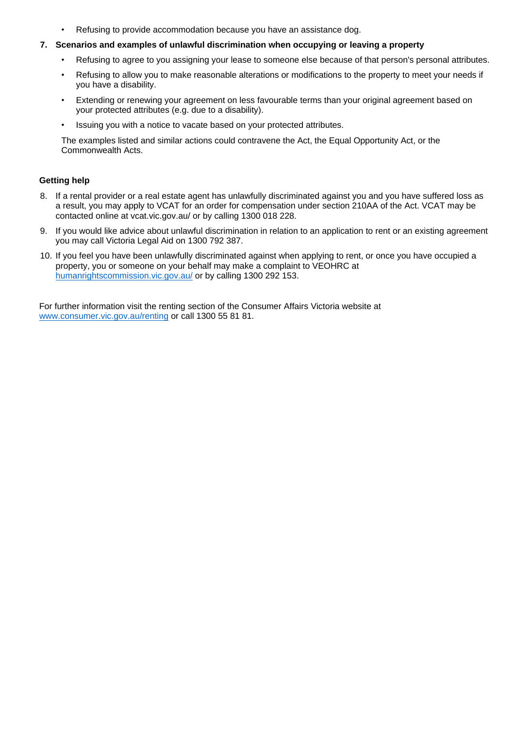Refusing to provide accommodation because you have an assistance dog.

#### **7. Scenarios and examples of unlawful discrimination when occupying or leaving a property**

- Refusing to agree to you assigning your lease to someone else because of that person's personal attributes.
- Refusing to allow you to make reasonable alterations or modifications to the property to meet your needs if you have a disability.
- Extending or renewing your agreement on less favourable terms than your original agreement based on your protected attributes (e.g. due to a disability).
- Issuing you with a notice to vacate based on your protected attributes.

The examples listed and similar actions could contravene the Act, the Equal Opportunity Act, or the Commonwealth Acts.

#### **Getting help**

- 8. If a rental provider or a real estate agent has unlawfully discriminated against you and you have suffered loss as a result, you may apply to VCAT for an order for compensation under section 210AA of the Act. VCAT may be contacted online at vcat.vic.gov.au/ or by calling 1300 018 228.
- 9. If you would like advice about unlawful discrimination in relation to an application to rent or an existing agreement you may call Victoria Legal Aid on 1300 792 387.
- 10. If you feel you have been unlawfully discriminated against when applying to rent, or once you have occupied a property, you or someone on your behalf may make a complaint to VEOHRC at [humanrightscommission.vic.gov.au/](http://www.humanrightscommission.vic.gov.au/) or by calling 1300 292 153.

For further information visit the renting section of the Consumer Affairs Victoria website at [www.consumer.vic.gov.au/renting](https://www.consumer.vic.gov.au/renting) or call 1300 55 81 81.